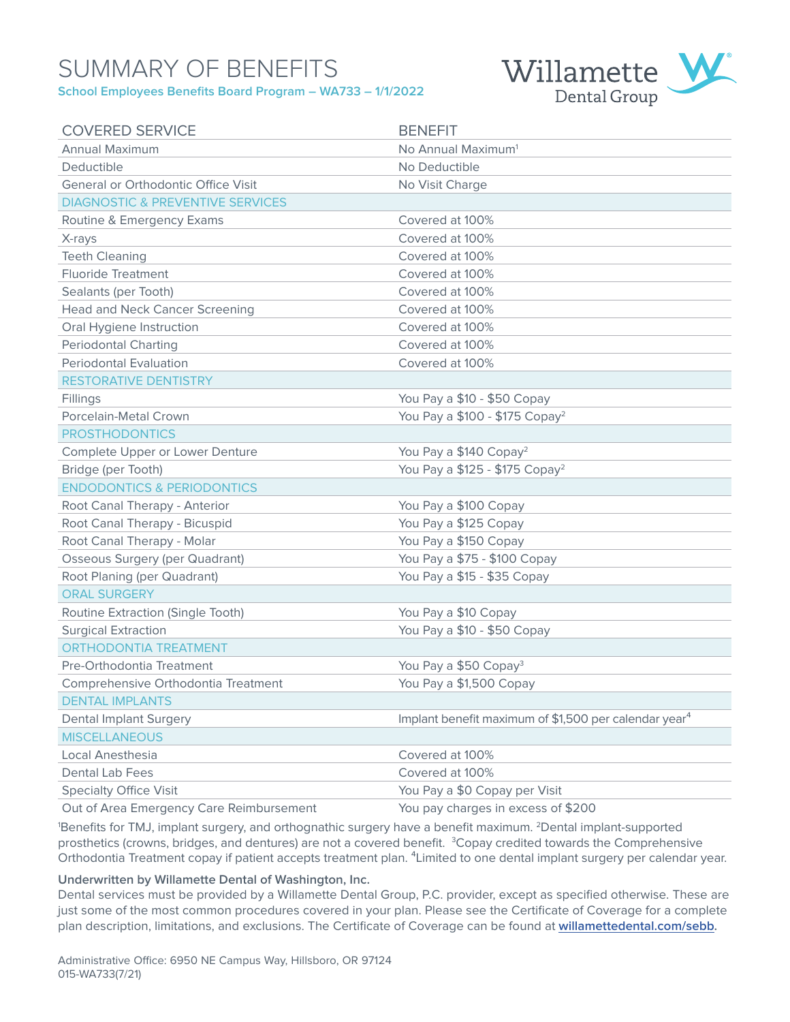## SUMMARY OF BENEFITS **School Employees Benefits Board Program – WA733 – 1/1/2022**



| <b>COVERED SERVICE</b>                      | <b>BENEFIT</b>                                                    |
|---------------------------------------------|-------------------------------------------------------------------|
| <b>Annual Maximum</b>                       | No Annual Maximum <sup>1</sup>                                    |
| Deductible                                  | No Deductible                                                     |
| General or Orthodontic Office Visit         | No Visit Charge                                                   |
| <b>DIAGNOSTIC &amp; PREVENTIVE SERVICES</b> |                                                                   |
| Routine & Emergency Exams                   | Covered at 100%                                                   |
| X-rays                                      | Covered at 100%                                                   |
| <b>Teeth Cleaning</b>                       | Covered at 100%                                                   |
| <b>Fluoride Treatment</b>                   | Covered at 100%                                                   |
| Sealants (per Tooth)                        | Covered at 100%                                                   |
| <b>Head and Neck Cancer Screening</b>       | Covered at 100%                                                   |
| Oral Hygiene Instruction                    | Covered at 100%                                                   |
| <b>Periodontal Charting</b>                 | Covered at 100%                                                   |
| <b>Periodontal Evaluation</b>               | Covered at 100%                                                   |
| <b>RESTORATIVE DENTISTRY</b>                |                                                                   |
| Fillings                                    | You Pay a \$10 - \$50 Copay                                       |
| Porcelain-Metal Crown                       | You Pay a \$100 - \$175 Copay <sup>2</sup>                        |
| <b>PROSTHODONTICS</b>                       |                                                                   |
| Complete Upper or Lower Denture             | You Pay a \$140 Copay <sup>2</sup>                                |
| Bridge (per Tooth)                          | You Pay a \$125 - \$175 Copay <sup>2</sup>                        |
| <b>ENDODONTICS &amp; PERIODONTICS</b>       |                                                                   |
| Root Canal Therapy - Anterior               | You Pay a \$100 Copay                                             |
| Root Canal Therapy - Bicuspid               | You Pay a \$125 Copay                                             |
| Root Canal Therapy - Molar                  | You Pay a \$150 Copay                                             |
| <b>Osseous Surgery (per Quadrant)</b>       | You Pay a \$75 - \$100 Copay                                      |
| Root Planing (per Quadrant)                 | You Pay a \$15 - \$35 Copay                                       |
| <b>ORAL SURGERY</b>                         |                                                                   |
| Routine Extraction (Single Tooth)           | You Pay a \$10 Copay                                              |
| <b>Surgical Extraction</b>                  | You Pay a \$10 - \$50 Copay                                       |
| <b>ORTHODONTIA TREATMENT</b>                |                                                                   |
| Pre-Orthodontia Treatment                   | You Pay a \$50 Copay <sup>3</sup>                                 |
| Comprehensive Orthodontia Treatment         | You Pay a \$1,500 Copay                                           |
| <b>DENTAL IMPLANTS</b>                      |                                                                   |
| <b>Dental Implant Surgery</b>               | Implant benefit maximum of \$1,500 per calendar year <sup>4</sup> |
| <b>MISCELLANEOUS</b>                        |                                                                   |
| Local Anesthesia                            | Covered at 100%                                                   |
| <b>Dental Lab Fees</b>                      | Covered at 100%                                                   |
| <b>Specialty Office Visit</b>               | You Pay a \$0 Copay per Visit                                     |

Out of Area Emergency Care Reimbursement You pay charges in excess of \$200

1 Benefits for TMJ, implant surgery, and orthognathic surgery have a benefit maximum. 2Dental implant-supported prosthetics (crowns, bridges, and dentures) are not a covered benefit. <sup>3</sup>Copay credited towards the Comprehensive Orthodontia Treatment copay if patient accepts treatment plan. <sup>4</sup>Limited to one dental implant surgery per calendar year.

### **Underwritten by Willamette Dental of Washington, Inc.**

Dental services must be provided by a Willamette Dental Group, P.C. provider, except as specified otherwise. These are just some of the most common procedures covered in your plan. Please see the Certificate of Coverage for a complete plan description, limitations, and exclusions. The Certificate of Coverage can be found at **[willamettedental.com/](http://willamettedental.com/sebb)sebb.**